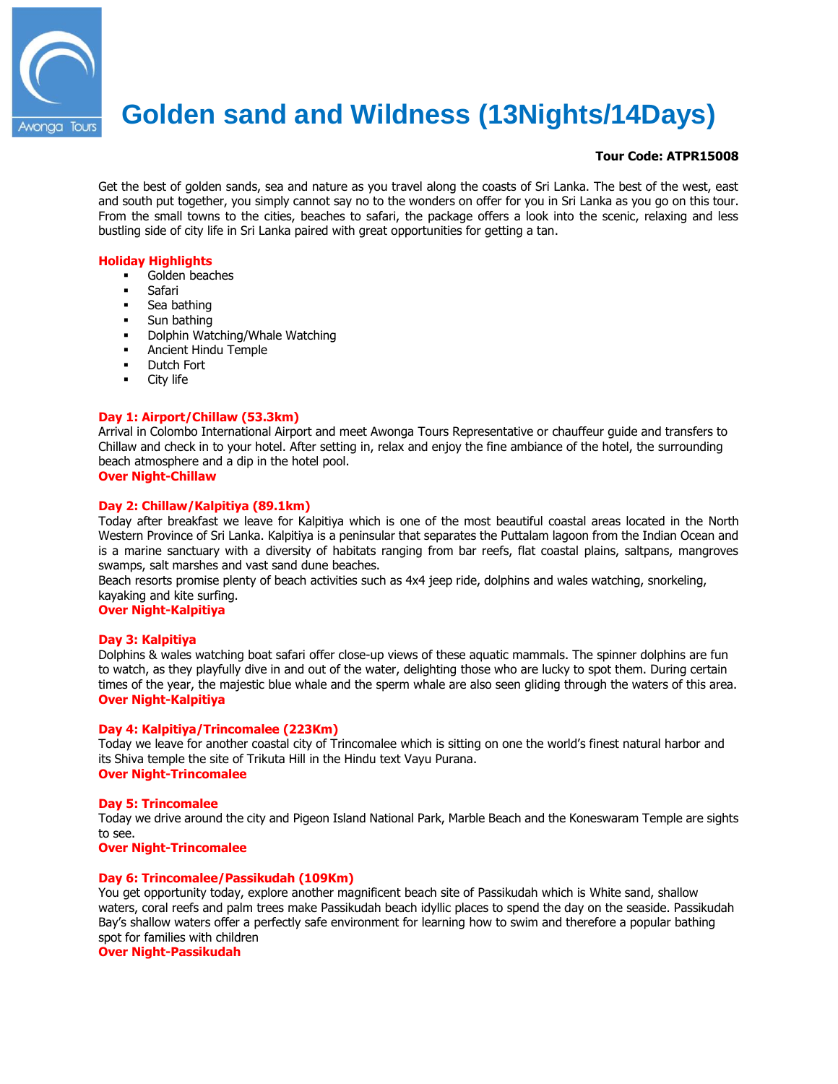

# **Golden sand and Wildness (13Nights/14Days)**

# **Tour Code: ATPR15008**

Get the best of golden sands, sea and nature as you travel along the coasts of Sri Lanka. The best of the west, east and south put together, you simply cannot say no to the wonders on offer for you in Sri Lanka as you go on this tour. From the small towns to the cities, beaches to safari, the package offers a look into the scenic, relaxing and less bustling side of city life in Sri Lanka paired with great opportunities for getting a tan.

# **Holiday Highlights**

- Golden beaches
- **Safari**
- Sea bathing
- Sun bathing
- **-** Dolphin Watching/Whale Watching
- **Ancient Hindu Temple**
- Dutch Fort
- **City life**

# **Day 1: Airport/Chillaw (53.3km)**

Arrival in Colombo International Airport and meet Awonga Tours Representative or chauffeur guide and transfers to Chillaw and check in to your hotel. After setting in, relax and enjoy the fine ambiance of the hotel, the surrounding beach atmosphere and a dip in the hotel pool.

# **Over Night-Chillaw**

# **Day 2: Chillaw/Kalpitiya (89.1km)**

Today after breakfast we leave for Kalpitiya which is one of the most beautiful coastal areas located in the North Western Province of Sri Lanka. Kalpitiya is a peninsular that separates the Puttalam lagoon from the Indian Ocean and is a marine sanctuary with a diversity of habitats ranging from bar reefs, flat coastal plains, saltpans, mangroves swamps, salt marshes and vast sand dune beaches.

Beach resorts promise plenty of beach activities such as 4x4 jeep ride, dolphins and wales watching, snorkeling, kayaking and kite surfing.

# **Over Night-Kalpitiya**

# **Day 3: Kalpitiya**

Dolphins & wales watching boat safari offer close-up views of these aquatic mammals. The spinner dolphins are fun to watch, as they playfully dive in and out of the water, delighting those who are lucky to spot them. During certain times of the year, the majestic blue whale and the sperm whale are also seen gliding through the waters of this area. **Over Night-Kalpitiya**

# **Day 4: Kalpitiya/Trincomalee (223Km)**

Today we leave for another coastal city of Trincomalee which is sitting on one the world's finest natural harbor and its Shiva temple the site of Trikuta Hill in the Hindu text Vayu Purana. **Over Night-Trincomalee**

# **Day 5: Trincomalee**

Today we drive around the city and Pigeon Island National Park, Marble Beach and the Koneswaram Temple are sights to see.

**Over Night-Trincomalee**

# **Day 6: Trincomalee/Passikudah (109Km)**

You get opportunity today, explore another magnificent beach site of Passikudah which is White sand, shallow waters, coral reefs and palm trees make Passikudah beach idyllic places to spend the day on the seaside. Passikudah Bay's shallow waters offer a perfectly safe environment for learning how to swim and therefore a popular bathing spot for families with children

**Over Night-Passikudah**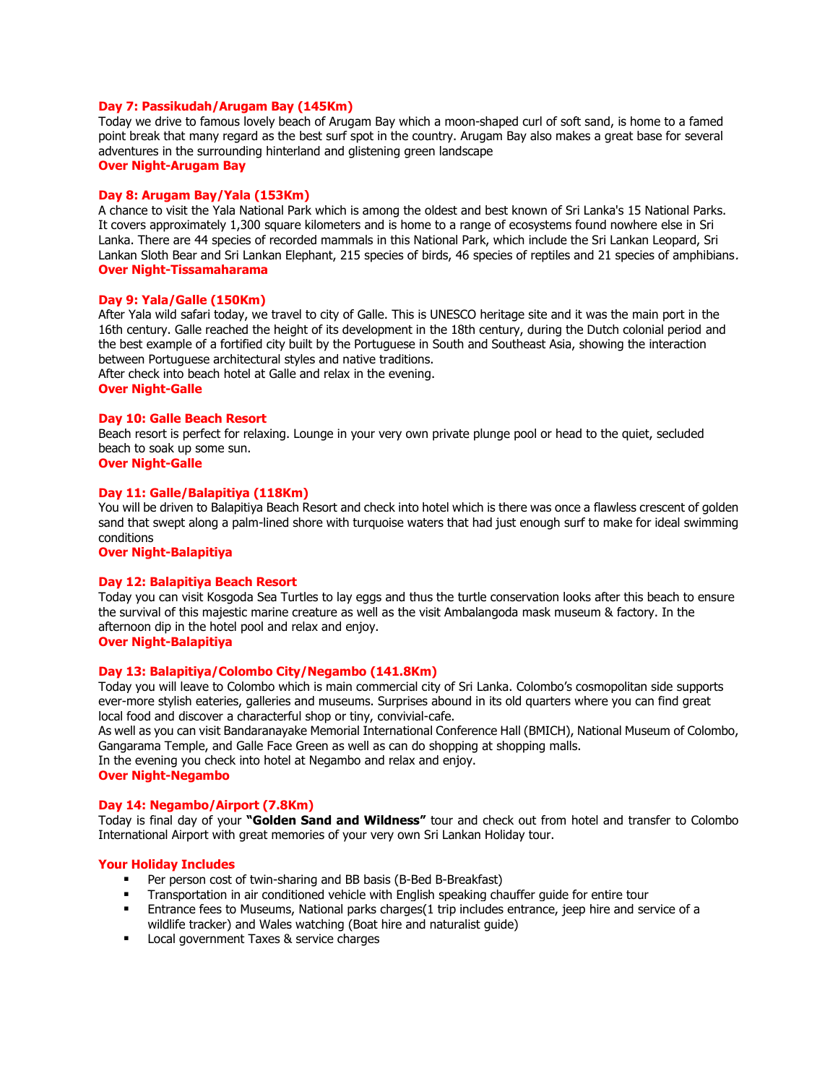# **Day 7: Passikudah/Arugam Bay (145Km)**

Today we drive to famous lovely beach of Arugam Bay which a moon-shaped curl of soft sand, is home to a famed point break that many regard as the best surf spot in the country. Arugam Bay also makes a great base for several adventures in the surrounding hinterland and glistening green landscape **Over Night-Arugam Bay**

# **Day 8: Arugam Bay/Yala (153Km)**

A chance to visit the Yala National Park which is among the oldest and best known of Sri Lanka's 15 National Parks. It covers approximately 1,300 square kilometers and is home to a range of ecosystems found nowhere else in Sri Lanka. There are 44 species of recorded mammals in this National Park, which include the Sri Lankan Leopard, Sri Lankan Sloth Bear and Sri Lankan Elephant, 215 species of birds, 46 species of reptiles and 21 species of amphibians. **Over Night-Tissamaharama** 

#### **Day 9: Yala/Galle (150Km)**

After Yala wild safari today, we travel to city of Galle. This is UNESCO heritage site and it was the main port in the 16th century. Galle reached the height of its development in the 18th century, during the Dutch colonial period and the best example of a fortified city built by the Portuguese in South and Southeast Asia, showing the interaction between Portuguese architectural styles and native traditions. After check into beach hotel at Galle and relax in the evening. **Over Night-Galle**

# **Day 10: Galle Beach Resort**

Beach resort is perfect for relaxing. Lounge in your very own private plunge pool or head to the quiet, secluded beach to soak up some sun.

# **Over Night-Galle**

#### **Day 11: Galle/Balapitiya (118Km)**

You will be driven to Balapitiya Beach Resort and check into hotel which is there was once a flawless crescent of golden sand that swept along a palm-lined shore with turquoise waters that had just enough surf to make for ideal swimming conditions

#### **Over Night-Balapitiya**

#### **Day 12: Balapitiya Beach Resort**

Today you can visit Kosgoda Sea Turtles to lay eggs and thus the turtle conservation looks after this beach to ensure the survival of this majestic marine creature as well as the visit Ambalangoda mask museum & factory. In the afternoon dip in the hotel pool and relax and enjoy.

# **Over Night-Balapitiya**

#### **Day 13: Balapitiya/Colombo City/Negambo (141.8Km)**

Today you will leave to Colombo which is main commercial city of Sri Lanka. Colombo's cosmopolitan side supports ever-more stylish eateries, galleries and museums. Surprises abound in its old quarters where you can find great local food and discover a characterful shop or tiny, convivial-cafe.

As well as you can visit Bandaranayake Memorial International Conference Hall (BMICH), National Museum of Colombo, Gangarama Temple, and Galle Face Green as well as can do shopping at shopping malls. In the evening you check into hotel at Negambo and relax and enjoy.

# **Over Night-Negambo**

#### **Day 14: Negambo/Airport (7.8Km)**

Today is final day of your **"Golden Sand and Wildness"** tour and check out from hotel and transfer to Colombo International Airport with great memories of your very own Sri Lankan Holiday tour.

#### **Your Holiday Includes**

- **Per person cost of twin-sharing and BB basis (B-Bed B-Breakfast)**
- **Transportation in air conditioned vehicle with English speaking chauffer guide for entire tour**
- Entrance fees to Museums, National parks charges(1 trip includes entrance, jeep hire and service of a wildlife tracker) and Wales watching (Boat hire and naturalist guide)
- **Local government Taxes & service charges**